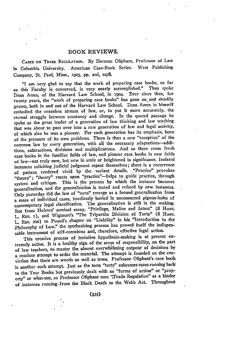#### BOOK REVIEWS.

**CASES** ON TRADE REGULATION. By Herman Oliphant, Professor of Law in Columbia University. American Case-Book Series. West Publishing Company, St. Paul, Minn., **1923,** pp. xxi, io78.

"I am very glad to say that the work of preparing case books, so far as this Faculty is concerned, is very nearly accomplished." Thus spoke Dean Ames, of the Harvard Law School, in **19o4.** Ever since then, for twenty years, the "work **of** preparing case books" has gone on and steadily grown, both in and out of the Harvard Law School. Dean Ames in himself embodied the ceaseless stream of law, or, to put it more accurately, the eternal struggle between constancy and change. In the quoted passage he spoke as the great leader of a generation of law thinking and law teaching that was about to pass over into a new generation of law and legal activity, of which also he was a pioneer. For each generation has its emphasis, born of the pressure of its own problems. There is thus a new "reception" of the common law by every generation, with all the necessary adaptations-additions, subtractions, divisions and multiplications. And so there come fresh case books in the familiar fields of law, and pioneer case books in new fields of law-not truly new, but new in scale or heightened in significance. Isolated instances soliciting judicial judgment repeat themselves; there is a recurrence of pattern rendered vivid by the variant details. "Practice" provokes "theory"; "theory" reacts upon "practice"-helps to guide practice, through system and critique. This is the process by which the instance becomes generalization, and the generalization is tested and refined by new instances. Only yesterday did the law of "torts" emerge as a fecund generalization from a mass of individual cases, heedlessly buried in unconnected pigeon-holes of contemporary legal classification. The generalization is still in the making. But from Holmes' seminal essay, "Privilege, Malice and Intent" (8 HARV. L. REV. 1), and Wigmore's "The Tripartite Division of Torts" (8 HARV. L. REV. **2o)** to Pound's chapter on "Liability" in his "Introduction to the Philosophy of Law," the synthesizing process has proved itself the indispensable instrument of self-conscious and, therefore, effective legal action.

This creative process of tentative hypothesis-making is at present extremely active. It is a healthy sign of the sense of responsibility, on the part of law teachers, to master the almost overwhelming outpour of decisions by a resolute attempt to order the material. The attempt is founded on the conviction that there are woods as well as trees. Professor Oliphant's case book is another such attempt. Just as the term "torts" subsumes cases running back to the Year Books but previously dealt with as "forms of action" or "property" or what-not, so Professor Oliphant uses ",Trade Regulation" as a binder of instances running-from the Black Death to the Webb Act. Throughout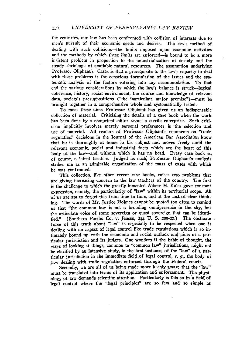## <sup>336</sup>*LNIVERSITY OF PENNSYLVANIA LAW REVIEW*

the centuries, our law has been confronted with collision of interests due to men's pursuit of their economic needs and desires. The law's method of dealing with such collisions-the limits imposed upon economic activities and the methods **by** which these limits are enforced-is bound to be a more insistent problem in proportion to the industrialization of society and the steady shrinkage of available natural resources. The assumption underlying Professor Oliphant's Cases is that a prerequisite to the law's capacity to deal with these problems is the conscious formulation of the issues and the systematic analysis of the factors entering into any accommodation. To that end the various considerations **by** which the law's balance is struck-logical coherence, history, social environment, the source and knowledge of relevant data, society's presuppositions ("the inarticulate major premise")-must be brought together in a comprehensive whole and systematically tested.

To meet these aims Professor Oliphant has given us an indispensable collection of material. Criticising the details of a case book when the work has been done **by** a competent editor seems a sterile enterprise. Such criticism implicitly involves merely personal preferences in the selection and use of material. **All** readers of Professor Oliphant's comments on "trade regulation" decisions in the Journal of the American Bar Association know that **he** is thoroughly at home in his subject and moves freely amid the relevant economic, social and industrial facts which are the **beart** of this body of the law—and without which it has no head. Every case book is, of course, a latent treatise. Judged as such; Professor Oliphant's analysis strikes me as an admirable organization of the mass of cases with which he was confronted.

This collection, like other recent case books, raises two problems that are giving increasing concern to the law teachers of the country. The first is the challenge to which the greatly lamented Albert M. Kales gave constant expression, namely, the particularity of "law" within its territorial scope. **All** of us are apt to forget this from time to time, and at the cost of clear thinking. The words of Mr. Justice Holmes cannot be quoted too often to remind us that "the common law is not a brooding omnipresence in the sky, but the articulate voice of some sovereign or quasi sovereign that can be identified." (Southern Pacific Co. v. Jensen, 244 U. S. 205-22.) The obstinate force of this truth about "law" is especially to **he** respected when one is dealing with an aspect of legal control like trade regulations which is so intimately bound up with the economic and social outlook and aims of a particular jurisdiction and its judges. One wonders if the habit of thought, the ways of looking at things, common to "common law" jurisdictions, might not be clarified by an intensive study, in the first instance, of the "law" of a particular jurisdiction in the immediate field of legal control, **e.** *g.,* the body of law dealing with trade regulation enforced through the Federal courts.

Secondly, we are all of us being made more keenly aware that the "law" must be translated into terms of its application and enforcement. The physiology of law demands scientific attenfion. Particularly is this so in a field of legal control where the "legal principles" are so few and so simple as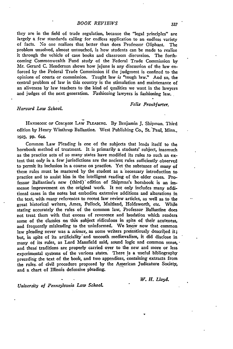they are in the field of trade regulation, because the "legal principles" are largely a few standards calling for endless application to an endless variety of facts. No one realizes that better than does Professor Oliphant. The problem unsolved, almost untouched, is **how** students can be made to realize it through the vehicle of case books and classroom discussion. The forthcoming Commonwealth Fund study of the Federal Trade Commission **by** Mir. Gerard **C.** Henderson shows **how** jejune is any discussion of the law enforced **by** the Federal Trade Commission if the judgment is confined to the opinions of courts or commission. Taught law *is* "tough **law:'** And so, the central problem of law in this country is the stimulation and maintenance of an aliveness **by** law teachers to the kind of qualities we want in the lawyers and judges of the next generation. Fashioning lawyers is fashioning law.

# $F$ *elix Frankfurter.*

#### *Harvard* Law *School.*

HANDBOOK OF COMMON LAW PLEADING. By Benjamin J. Shipman. Third edition **by** Henry Winthrop Ballantine. West Publishing Co., St.'Paul, Minn., **1923, pp. 644.**

Common Law Pleading is one of the subjects that lends itself to the hornbook method of treatment. It is primarily a students' subject, inasmuch as the practice acts of so many states have modified its rules **.to** such an extent that only in a few jurisdictions are the ancient rules sufficiently observed to permit its inclusion in a course on practice. Yet the substance of many of these rules must be mastered by the student as a necessary introduction to practice and to assist him in the intelligent reading of the older cases. Professor Ballantine's new (third) edition of Shipman's hornbook is an immense improvement on the original work. It not only includes many additional cases in the notes but embodies extensive additions and alterations in the text, with many references to recent law review articles, as well as to the great historical writers, Ames, Pollock, Maitland, Holdsworth, etc. While stating accurately the rules of the common law, Professor Ballantine does not treat them with that excess of reverence and laudation which renders some of the classics on this subject ridiculous in spite of their acuteness, and frequently misleading to the uninformed. We know now that common law pleading never was a *science*, as some writers pretentiously described it; but, in spite of its artificiality and uncouth mediævalism, it did disclose in many of its rules, as Lord Mansfield said, sound logic and common **sense,"** and these traditions are properly carried over to the new and more or less experimental systems of the various states. There is a useful bibliography preceding the text of the book, and two appendices, containing extracts from the rules. of civil procedure proposed **by** the American Judicature Society, and a chart of Illinois defensive pleading.

*W. H. Lloyd.*

*University of Pennsylvania Law School*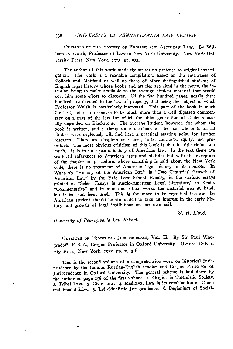### **338** *UNIVERSITY OF PENNSYLVANIA LAW REVIEW*

OUTLINES OF THE HISTORY OF ENGLISH AND AMERICAN LAW. By William F. Walsh, Professor of Law in New York University. New York University Press, New York, **1923,** pp. 533.

The author of this work modestly makes no pretense to original investigation. The work is a readable compilation, based on the researches of '2ollock and Maitland as well as those of other distinguished students of English legal history whose books and articles are cited in the notes, the intention being to make available to the average student material that would cost him some effort to discover. Of the five hundred pages, nearly three hundred are devoted to the law of property, that being the subject in which Professor Walsh is particularly interested. This part of the book is much the best, but is too concise to be much more than a well digested commentary on a part of the law for which the older generation of students usually depended on Blackstone. The average student, however, for whom the book is written, and perhaps some members of the bar whose historical 6tudies were neglected, will find here a practical starting point for further research. There are chapters on crimes, torts, contracts, equity, and procedure. The most obvious criticism of this book is that its title claims too much. It is in no sense a history of American law. In the text there are scattered references to American cases and statutes but with the exception of the chapter on procedure, where something is said about the New York code, there is no treatment of American legal history or its sources. In Warren's "History of the American Bar," in "Two Centuries' Growth of American Law" by the Yale Law School Faculty, in the various essays printed in "Select Essays in Anglo-American Legal Literature," in Kent's "Commentaries" and in numerous other works the material was at hand, but it has not been used.- This is the more to be regretted because the American student should be stimulated to take an interest in the early history and growth of legal institutions on our own soil.

*W. H. Lloyd,*

*University of Pennsylvania Law School.*

**OUTLINES OF** HISTORICAL **JURISPRUDENCE,** VOL. II. **By** Sir Paul Vinogradoff, F. B.A., Corpus Professor in Oxford University. Oxford University Press, New York, **1922,** pp. **x,** 316.

This is the second volume of a comprehensive work on historical jurisprudence by the famous Russian-English scholar and Corpus Professor **of** Jurisprudence in Oxford University. The general scheme is laid down by the author on page 158 of the first volume: **i.** Origins in Totemistic Society. **2.** Tribal Law. 3. Civic Law. 4. Medixval Law in its combination as Canon and Feudal Law. **S.** Individualistic Jurisprudence. **6.** Beginnings of Social-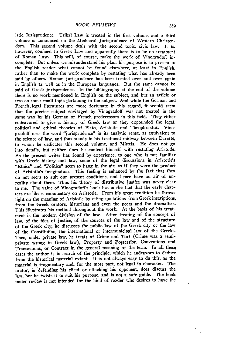istic Jurisprudence. Tribal Law is treated in the first volume, and a third volume is announced on the Ifedizeval Jurisprudence of Western Christendom. This second volume deals with the second topic, civic law. it is, however, confined to Greek Law and apparently there is to be no treatment of Roman Law. This will, of course, make the work of Vinogradoff incomplete. But unless we misunderstand his plan, his purpose is to present to the English reader what cannot be found elsewhere, at least in English. rather than to make the work complete **by** restating what has already been said **by** others. Roman jurisprudence has been treated over and over again in English as well as in the European languages. But the same cannot be said of Greek jurisprudence. In the bibliography at the end of the volume there is no work mentioned in English on the subject, and but an article or two on some small topic pcrtaining to the subject. And while the German and French legal literatures are more fortunate in this regard, it would seem that the precise subject envisaged by Vinogradoff was not treated in the same way by his German or French predecessors in this field. They either endeavored to give a history of Greek law or they expounded the legal, political and ethical theories of Plato, Aristotle and Theophrastus. Vinogradoff uses the word "jurisprudence" in its analytic sense, as equivalent to the science of law, and thus stands in his treatment midway between Dareste, to whom he dedicates this second volume, and Mitteis. He does not go into details, but neither does he content himself with restating Aristotle. As the present writer has found by experience, to one who is not familiar with Greek history and law, some of the legal discussions in Aristotle's "Ethics" and "Politics" seem to hang in the air, as if they were the product of Aristotle's imagination. This feeling is enhanced **by** the fact that they do not seem to suit our present conditions, and hence have an air of unreality about them. Thus his theory of distributive justice was never clear to me. The value of Vinogradoff's book lies in the fact that the early chapters are like a commentary on Aristotle. From his great erudition he throws light on the meaning of Aristotle by citing quotations from Greek inscriptions, from the Greek orators, historians and even the poets and the dramatists. This illustrates his method throughout the work. At the basis of his treatment is the modem division of the law. After treating of the concept of law, of the idea of justice, of the sources of the law and of the structure of the Greek city, he discusses the public law of the Greek city or the law of the Constitution, the international or intermunicipal law of the Greeks. Then, under private law, he treats of Crime and Tort (Crime was a semiprivate wrong in Greek law), Property and Possession, Conventions and Transactions, or Contract in the general meaning of the term. In all these cases the author is in search of the principle, which he endeavors to deduce from the historical material extant. It is not always 'easy to do this, as the material is fragmentary and, for the most part, not legal in character. The orator, in 'defending his client or attacking his opponent, does discuss the law, but he twists it to suit his purpose, and is not a safe guide. The book under review is not intended for the kind of reader %vho desires to have the